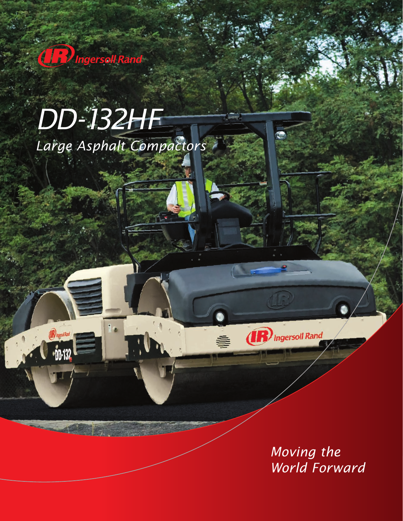

**OF CONTRACTOR** 

# *DD-132HF Large Asphalt Compactors*

*Moving the World Forward*

(**R**) Ingersoll Rand